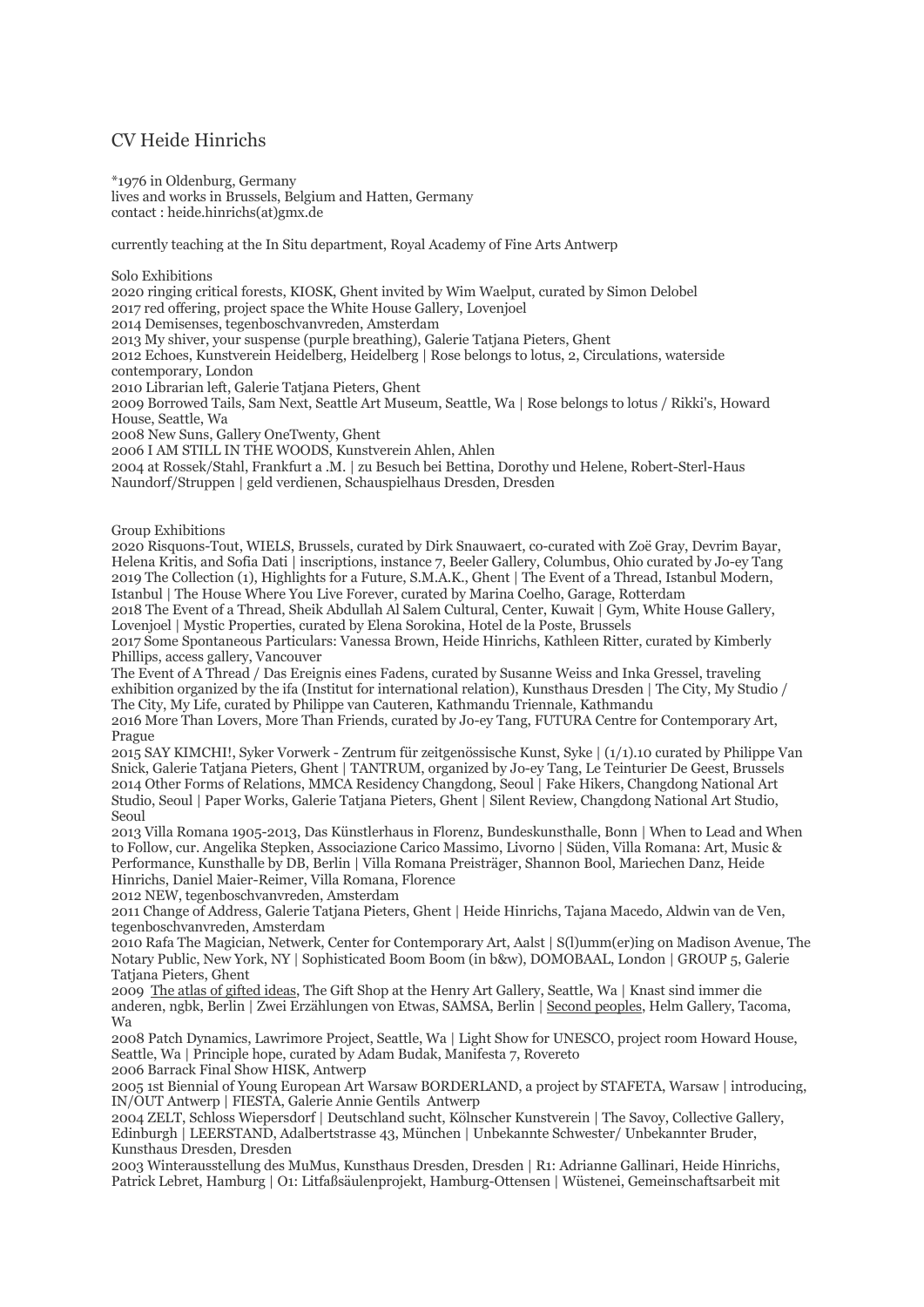## CV Heide Hinrichs

\*1976 in Oldenburg, Germany lives and works in Brussels, Belgium and Hatten, Germany contact : heide.hinrichs(at)gmx.de

currently teaching at the In Situ department, Royal Academy of Fine Arts Antwerp

Solo Exhibitions

2020 ringing critical forests, KIOSK, Ghent invited by Wim Waelput, curated by Simon Delobel 2017 red offering, project space the White House Gallery, Lovenjoel 2014 Demisenses, tegenboschvanvreden, Amsterdam

2013 My shiver, your suspense (purple breathing), Galerie Tatjana Pieters, Ghent

2012 Echoes, Kunstverein Heidelberg, Heidelberg | Rose belongs to lotus, 2, Circulations, waterside contemporary, London

2010 Librarian left, Galerie Tatjana Pieters, Ghent

2009 Borrowed Tails, Sam Next, Seattle Art Museum, Seattle, Wa | Rose belongs to lotus / Rikki's, Howard House, Seattle, Wa

2008 New Suns, Gallery OneTwenty, Ghent

2006 I AM STILL IN THE WOODS, Kunstverein Ahlen, Ahlen

2004 at Rossek/Stahl, Frankfurt a .M. | zu Besuch bei Bettina, Dorothy und Helene, Robert-Sterl-Haus Naundorf/Struppen | geld verdienen, Schauspielhaus Dresden, Dresden

Group Exhibitions

2020 Risquons-Tout, WIELS, Brussels, curated by Dirk Snauwaert, co-curated with Zoë Gray, Devrim Bayar, Helena Kritis, and Sofia Dati | inscriptions, instance 7, Beeler Gallery, Columbus, Ohio curated by Jo-ey Tang 2019 The Collection (1), Highlights for a Future, S.M.A.K., Ghent | The Event of a Thread, Istanbul Modern, Istanbul | The House Where You Live Forever, curated by Marina Coelho, Garage, Rotterdam

2018 The Event of a Thread, Sheik Abdullah Al Salem Cultural, Center, Kuwait | Gym, White House Gallery, Lovenjoel | Mystic Properties, curated by Elena Sorokina, Hotel de la Poste, Brussels

2017 Some Spontaneous Particulars: Vanessa Brown, Heide Hinrichs, Kathleen Ritter, curated by Kimberly Phillips, access gallery, Vancouver

The Event of A Thread / Das Ereignis eines Fadens, curated by Susanne Weiss and Inka Gressel, traveling exhibition organized by the ifa (Institut for international relation), Kunsthaus Dresden | The City, My Studio / The City, My Life, curated by Philippe van Cauteren, Kathmandu Triennale, Kathmandu

2016 More Than Lovers, More Than Friends, curated by Jo-ey Tang, FUTURA Centre for Contemporary Art, Prague

2015 SAY KIMCHI!, Syker Vorwerk - Zentrum für zeitgenössische Kunst, Syke | (1/1).10 curated by Philippe Van Snick, Galerie Tatjana Pieters, Ghent | TANTRUM, organized by Jo-ey Tang, Le Teinturier De Geest, Brussels 2014 Other Forms of Relations, MMCA Residency Changdong, Seoul | Fake Hikers, Changdong National Art Studio, Seoul | Paper Works, Galerie Tatjana Pieters, Ghent | Silent Review, Changdong National Art Studio, Seoul

2013 Villa Romana 1905-2013, Das Künstlerhaus in Florenz, Bundeskunsthalle, Bonn | When to Lead and When to Follow, cur. Angelika Stepken, Associazione Carico Massimo, Livorno | Süden, Villa Romana: Art, Music & Performance, Kunsthalle by DB, Berlin | Villa Romana Preisträger, Shannon Bool, Mariechen Danz, Heide Hinrichs, Daniel Maier-Reimer, Villa Romana, Florence

2012 NEW, tegenboschvanvreden, Amsterdam

2011 Change of Address, Galerie Tatjana Pieters, Ghent | Heide Hinrichs, Tajana Macedo, Aldwin van de Ven, tegenboschvanvreden, Amsterdam

2010 Rafa The Magician, Netwerk, Center for Contemporary Art, Aalst | S(l)umm(er)ing on Madison Avenue, The Notary Public, New York, NY | Sophisticated Boom Boom (in b&w), DOMOBAAL, London | GROUP 5, Galerie Tatjana Pieters, Ghent

2009 The atlas of gifted ideas, The Gift Shop at the Henry Art Gallery, Seattle, Wa | Knast sind immer die anderen, ngbk, Berlin | Zwei Erzählungen von Etwas, SAMSA, Berlin | Second peoples, Helm Gallery, Tacoma, Wa

2008 Patch Dynamics, Lawrimore Project, Seattle, Wa | Light Show for UNESCO, project room Howard House, Seattle, Wa | Principle hope, curated by Adam Budak, Manifesta 7, Rovereto

2006 Barrack Final Show HISK, Antwerp

2005 1st Biennial of Young European Art Warsaw BORDERLAND, a project by STAFETA, Warsaw | introducing, IN/OUT Antwerp | FIESTA, Galerie Annie Gentils Antwerp

2004 ZELT, Schloss Wiepersdorf | Deutschland sucht, Kölnscher Kunstverein | The Savoy, Collective Gallery, Edinburgh | LEERSTAND, Adalbertstrasse 43, München | Unbekannte Schwester/ Unbekannter Bruder, Kunsthaus Dresden, Dresden

2003 Winterausstellung des MuMus, Kunsthaus Dresden, Dresden | R1: Adrianne Gallinari, Heide Hinrichs, Patrick Lebret, Hamburg | O1: Litfaßsäulenprojekt, Hamburg-Ottensen | Wüstenei, Gemeinschaftsarbeit mit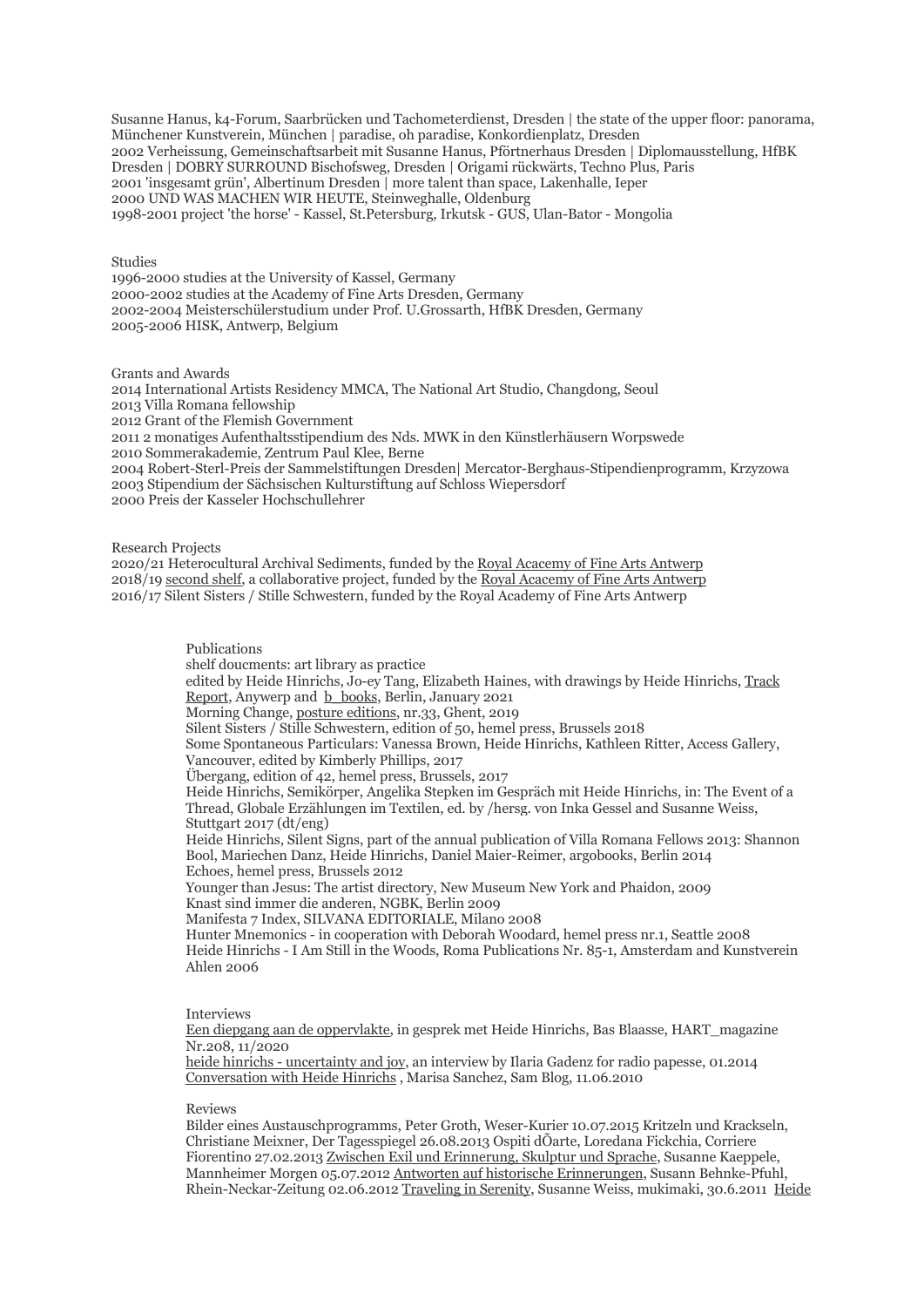Susanne Hanus, k4-Forum, Saarbrücken und Tachometerdienst, Dresden | the state of the upper floor: panorama, Münchener Kunstverein, München | paradise, oh paradise, Konkordienplatz, Dresden 2002 Verheissung, Gemeinschaftsarbeit mit Susanne Hanus, Pförtnerhaus Dresden | Diplomausstellung, HfBK Dresden | DOBRY SURROUND Bischofsweg, Dresden | Origami rückwärts, Techno Plus, Paris 2001 'insgesamt grün', Albertinum Dresden | more talent than space, Lakenhalle, Ieper 2000 UND WAS MACHEN WIR HEUTE, Steinweghalle, Oldenburg 1998-2001 project 'the horse' - Kassel, St.Petersburg, Irkutsk - GUS, Ulan-Bator - Mongolia

## Studies

1996-2000 studies at the University of Kassel, Germany 2000-2002 studies at the Academy of Fine Arts Dresden, Germany 2002-2004 Meisterschülerstudium under Prof. U.Grossarth, HfBK Dresden, Germany 2005-2006 HISK, Antwerp, Belgium

Grants and Awards

2014 International Artists Residency MMCA, The National Art Studio, Changdong, Seoul 2013 Villa Romana fellowship 2012 Grant of the Flemish Government 2011 2 monatiges Aufenthaltsstipendium des Nds. MWK in den Künstlerhäusern Worpswede 2010 Sommerakademie, Zentrum Paul Klee, Berne 2004 Robert-Sterl-Preis der Sammelstiftungen Dresden| Mercator-Berghaus-Stipendienprogramm, Krzyzowa 2003 Stipendium der Sächsischen Kulturstiftung auf Schloss Wiepersdorf 2000 Preis der Kasseler Hochschullehrer

Research Projects

2020/21 Heterocultural Archival Sediments, funded by the Royal Acacemy of Fine Arts Antwerp 2018/19 second shelf, a collaborative project, funded by the Royal Acacemy of Fine Arts Antwerp 2016/17 Silent Sisters / Stille Schwestern, funded by the Royal Academy of Fine Arts Antwerp

> Publications shelf doucments: art library as practice edited by Heide Hinrichs, Jo-ey Tang, Elizabeth Haines, with drawings by Heide Hinrichs, Track Report, Anywerp and b\_books, Berlin, January 2021 Morning Change, posture editions, nr.33, Ghent, 2019 Silent Sisters / Stille Schwestern, edition of 50, hemel press, Brussels 2018 Some Spontaneous Particulars: Vanessa Brown, Heide Hinrichs, Kathleen Ritter, Access Gallery, Vancouver, edited by Kimberly Phillips, 2017 Übergang, edition of 42, hemel press, Brussels, 2017 Heide Hinrichs, Semikörper, Angelika Stepken im Gespräch mit Heide Hinrichs, in: The Event of a Thread, Globale Erzählungen im Textilen, ed. by /hersg. von Inka Gessel and Susanne Weiss, Stuttgart 2017 (dt/eng) Heide Hinrichs, Silent Signs, part of the annual publication of Villa Romana Fellows 2013: Shannon Bool, Mariechen Danz, Heide Hinrichs, Daniel Maier-Reimer, argobooks, Berlin 2014 Echoes, hemel press, Brussels 2012 Younger than Jesus: The artist directory, New Museum New York and Phaidon, 2009 Knast sind immer die anderen, NGBK, Berlin 2009 Manifesta 7 Index, SILVANA EDITORIALE, Milano 2008 Hunter Mnemonics - in cooperation with Deborah Woodard, hemel press nr.1, Seattle 2008 Heide Hinrichs - I Am Still in the Woods, Roma Publications Nr. 85-1, Amsterdam and Kunstverein Ahlen 2006

## Interviews

Een diepgang aan de oppervlakte, in gesprek met Heide Hinrichs, Bas Blaasse, HART\_magazine Nr.208, 11/2020

heide hinrichs - uncertainty and joy, an interview by Ilaria Gadenz for radio papesse, 01.2014 Conversation with Heide Hinrichs , Marisa Sanchez, Sam Blog, 11.06.2010

## Reviews

Bilder eines Austauschprogramms, Peter Groth, Weser-Kurier 10.07.2015 Kritzeln und Krackseln, Christiane Meixner, Der Tagesspiegel 26.08.2013 Ospiti dÕarte, Loredana Fickchia, Corriere Fiorentino 27.02.2013 Zwischen Exil und Erinnerung, Skulptur und Sprache, Susanne Kaeppele, Mannheimer Morgen 05.07.2012 Antworten auf historische Erinnerungen, Susann Behnke-Pfuhl, Rhein-Neckar-Zeitung 02.06.2012 Traveling in Serenity, Susanne Weiss, mukimaki, 30.6.2011 Heide